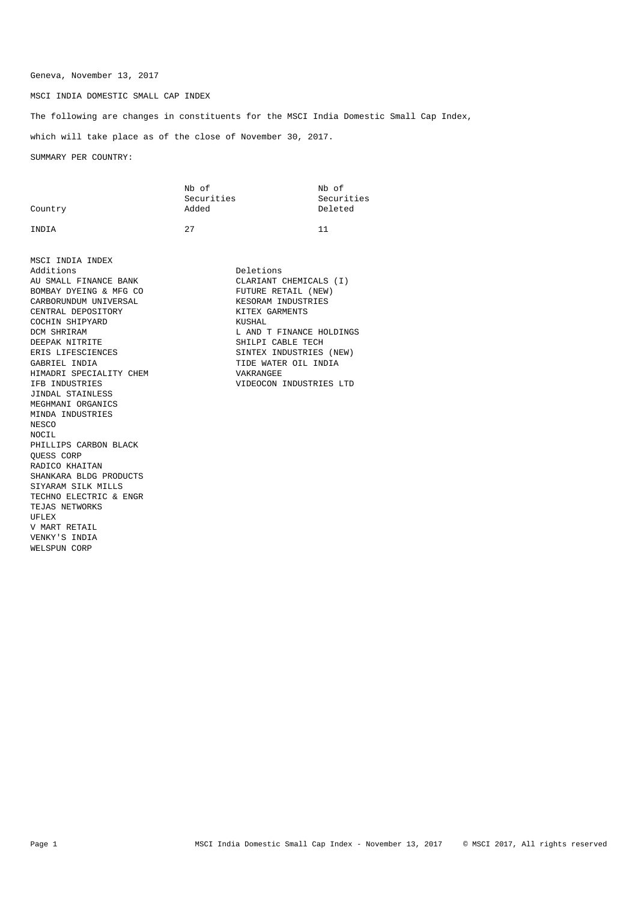Geneva, November 13, 2017

MSCI INDIA DOMESTIC SMALL CAP INDEX

The following are changes in constituents for the MSCI India Domestic Small Cap Index,

which will take place as of the close of November 30, 2017.

SUMMARY PER COUNTRY:

|         | Nb of      | Nb of      |
|---------|------------|------------|
|         | Securities | Securities |
| Country | Added      | Deleted    |
| INDIA   | つワ         | 11         |

MSCI INDIA INDEX Additions Deletions AU SMALL FINANCE BANK CLARIANT CHEMICALS (I)<br>BOMBAY DYEING & MFG CO BOMBAY DYEING & MFG CO<br>CARBORUNDUM UNIVERSAL FOR THE RESORAM INDUSTRIES CARBORUNDUM UNIVERSAL CENTRAL DEPOSITORY KITEX GARMENTS COCHIN SHIPYARD DCM SHRIRAM L AND T FINANCE HOLDINGS ERIS LIFESCIENCES SINTEX INDUSTRIES (NEW) GABRIEL INDIA<br>
HIMADRI SPECIALITY CHEM
HIMADRI SPECIALITY CHEM
S HIMADRI SPECIALITY CHEM IFB INDUSTRIES VIDEOCON INDUSTRIES LTD JINDAL STAINLESS MEGHMANI ORGANICS MINDA INDUSTRIES NESCO NOCIL PHILLIPS CARBON BLACK QUESS CORP RADICO KHAITAN SHANKARA BLDG PRODUCTS SIYARAM SILK MILLS TECHNO ELECTRIC & ENGR TEJAS NETWORKS UFLEX V MART RETAIL VENKY'S INDIA WELSPUN CORP

SHILPI CABLE TECH